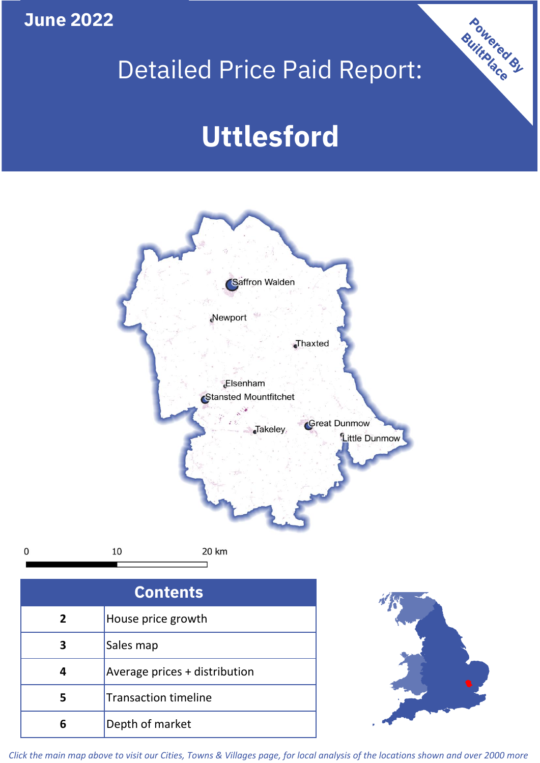**June 2022**

 $\mathbf 0$ 

# Detailed Price Paid Report:

# **Uttlesford**



| <b>Contents</b> |                               |  |  |
|-----------------|-------------------------------|--|--|
| $\mathbf{2}$    | House price growth            |  |  |
| 3               | Sales map                     |  |  |
|                 | Average prices + distribution |  |  |
|                 | <b>Transaction timeline</b>   |  |  |
|                 | Depth of market               |  |  |



Powered By

*Click the main map above to visit our Cities, Towns & Villages page, for local analysis of the locations shown and over 2000 more*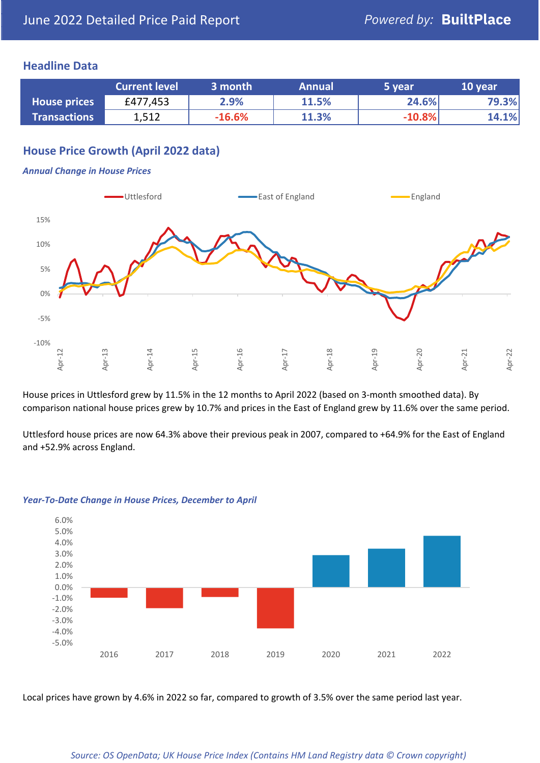#### **Headline Data**

|                     | <b>Current level</b> | 3 month  | <b>Annual</b> | 5 year   | 10 year |
|---------------------|----------------------|----------|---------------|----------|---------|
| <b>House prices</b> | £477,453             | 2.9%     | 11.5%         | 24.6%    | 79.3%   |
| <b>Transactions</b> | 1,512                | $-16.6%$ | 11.3%         | $-10.8%$ | 14.1%   |

# **House Price Growth (April 2022 data)**

#### *Annual Change in House Prices*



House prices in Uttlesford grew by 11.5% in the 12 months to April 2022 (based on 3-month smoothed data). By comparison national house prices grew by 10.7% and prices in the East of England grew by 11.6% over the same period.

Uttlesford house prices are now 64.3% above their previous peak in 2007, compared to +64.9% for the East of England and +52.9% across England.



#### *Year-To-Date Change in House Prices, December to April*

Local prices have grown by 4.6% in 2022 so far, compared to growth of 3.5% over the same period last year.

#### *Source: OS OpenData; UK House Price Index (Contains HM Land Registry data © Crown copyright)*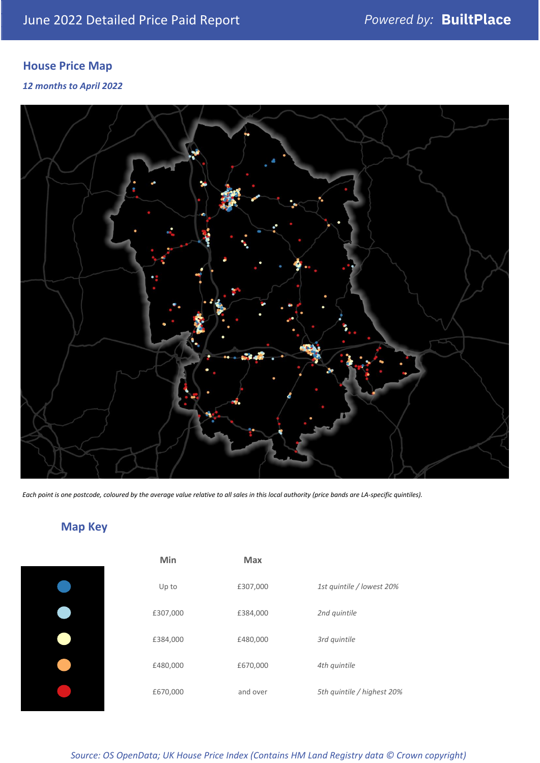# **House Price Map**

*12 months to April 2022*



*Each point is one postcode, coloured by the average value relative to all sales in this local authority (price bands are LA-specific quintiles).*

# **Map Key**

| Min      | Max      |                            |
|----------|----------|----------------------------|
| Up to    | £307,000 | 1st quintile / lowest 20%  |
| £307,000 | £384,000 | 2nd quintile               |
| £384,000 | £480,000 | 3rd quintile               |
| £480,000 | £670,000 | 4th quintile               |
| £670,000 | and over | 5th quintile / highest 20% |

*Source: OS OpenData; UK House Price Index (Contains HM Land Registry data © Crown copyright)*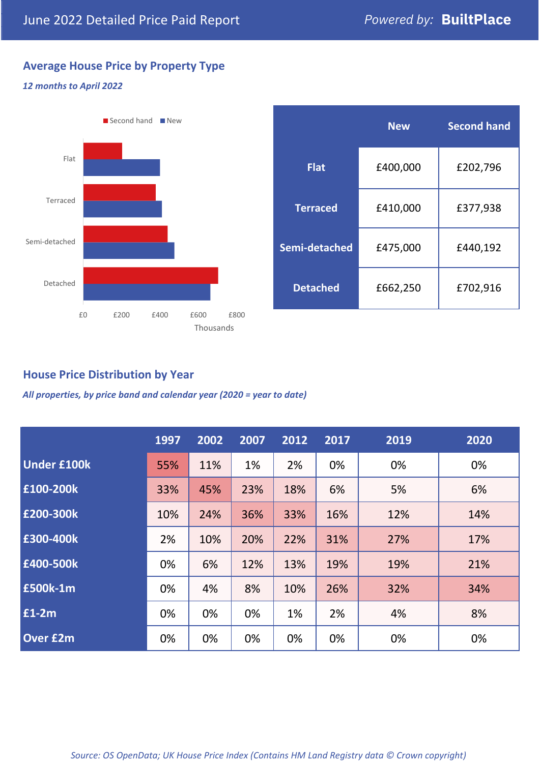# **Average House Price by Property Type**

#### *12 months to April 2022*



|                 | <b>New</b> | <b>Second hand</b> |  |  |
|-----------------|------------|--------------------|--|--|
| <b>Flat</b>     | £400,000   | £202,796           |  |  |
| <b>Terraced</b> | £410,000   | £377,938           |  |  |
| Semi-detached   | £475,000   | £440,192           |  |  |
| <b>Detached</b> | £662,250   | £702,916           |  |  |

# **House Price Distribution by Year**

*All properties, by price band and calendar year (2020 = year to date)*

|                    | 1997 | 2002 | 2007 | 2012 | 2017 | 2019 | 2020 |
|--------------------|------|------|------|------|------|------|------|
| <b>Under £100k</b> | 55%  | 11%  | 1%   | 2%   | 0%   | 0%   | 0%   |
| £100-200k          | 33%  | 45%  | 23%  | 18%  | 6%   | 5%   | 6%   |
| E200-300k          | 10%  | 24%  | 36%  | 33%  | 16%  | 12%  | 14%  |
| £300-400k          | 2%   | 10%  | 20%  | 22%  | 31%  | 27%  | 17%  |
| £400-500k          | 0%   | 6%   | 12%  | 13%  | 19%  | 19%  | 21%  |
| <b>£500k-1m</b>    | 0%   | 4%   | 8%   | 10%  | 26%  | 32%  | 34%  |
| £1-2m              | 0%   | 0%   | 0%   | 1%   | 2%   | 4%   | 8%   |
| <b>Over £2m</b>    | 0%   | 0%   | 0%   | 0%   | 0%   | 0%   | 0%   |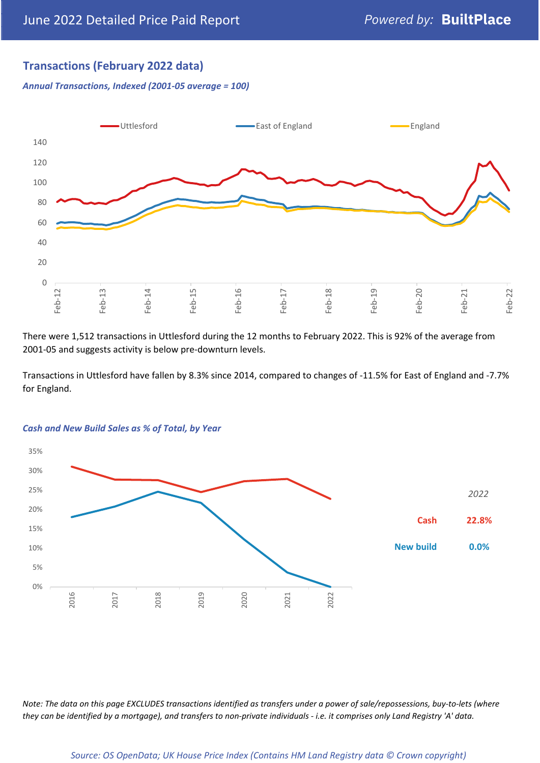# **Transactions (February 2022 data)**

*Annual Transactions, Indexed (2001-05 average = 100)*



There were 1,512 transactions in Uttlesford during the 12 months to February 2022. This is 92% of the average from 2001-05 and suggests activity is below pre-downturn levels.

Transactions in Uttlesford have fallen by 8.3% since 2014, compared to changes of -11.5% for East of England and -7.7% for England.



#### *Cash and New Build Sales as % of Total, by Year*

*Note: The data on this page EXCLUDES transactions identified as transfers under a power of sale/repossessions, buy-to-lets (where they can be identified by a mortgage), and transfers to non-private individuals - i.e. it comprises only Land Registry 'A' data.*